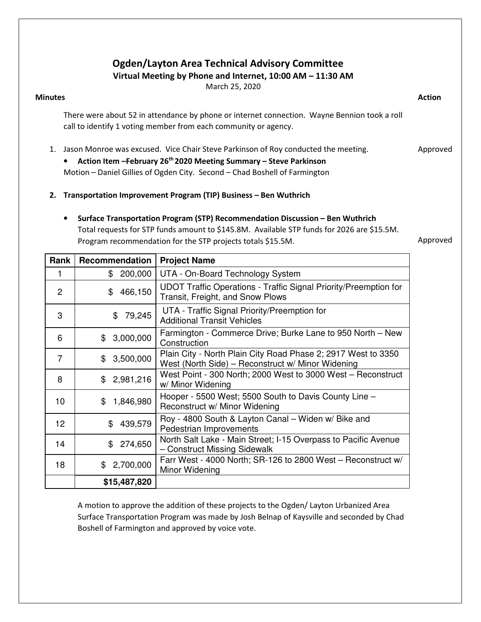## Ogden/Layton Area Technical Advisory Committee

Virtual Meeting by Phone and Internet, 10:00 AM – 11:30 AM

March 25, 2020

#### Minutes **Action**

There were about 52 in attendance by phone or internet connection. Wayne Bennion took a roll call to identify 1 voting member from each community or agency.

1. Jason Monroe was excused. Vice Chair Steve Parkinson of Roy conducted the meeting. Approved

• Action Item – February 26<sup>th</sup> 2020 Meeting Summary – Steve Parkinson Motion – Daniel Gillies of Ogden City. Second – Chad Boshell of Farmington

- 2. Transportation Improvement Program (TIP) Business Ben Wuthrich
	- Surface Transportation Program (STP) Recommendation Discussion Ben Wuthrich Total requests for STP funds amount to \$145.8M. Available STP funds for 2026 are \$15.5M. Program recommendation for the STP projects totals \$15.5M.

Approved

| Rank            | Recommendation  | <b>Project Name</b>                                                                                                |
|-----------------|-----------------|--------------------------------------------------------------------------------------------------------------------|
| 1               | 200,000<br>\$   | UTA - On-Board Technology System                                                                                   |
| $\overline{2}$  | 466,150<br>\$   | UDOT Traffic Operations - Traffic Signal Priority/Preemption for<br>Transit, Freight, and Snow Plows               |
| 3               | 79,245<br>\$    | UTA - Traffic Signal Priority/Preemption for<br><b>Additional Transit Vehicles</b>                                 |
| 6               | 3,000,000<br>\$ | Farmington - Commerce Drive; Burke Lane to 950 North – New<br>Construction                                         |
| $\overline{7}$  | \$3,500,000     | Plain City - North Plain City Road Phase 2; 2917 West to 3350<br>West (North Side) – Reconstruct w/ Minor Widening |
| 8               | 2,981,216<br>\$ | West Point - 300 North; 2000 West to 3000 West - Reconstruct<br>w/ Minor Widening                                  |
| 10 <sup>1</sup> | 1,846,980<br>\$ | Hooper - 5500 West; 5500 South to Davis County Line -<br>Reconstruct w/ Minor Widening                             |
| 12 <sup>2</sup> | 439,579<br>\$   | Roy - 4800 South & Layton Canal - Widen w/ Bike and<br>Pedestrian Improvements                                     |
| 14              | 274,650<br>\$   | North Salt Lake - Main Street; I-15 Overpass to Pacific Avenue<br>- Construct Missing Sidewalk                     |
| 18              | 2,700,000<br>\$ | Farr West - 4000 North; SR-126 to 2800 West - Reconstruct w/<br>Minor Widening                                     |
|                 | \$15,487,820    |                                                                                                                    |

A motion to approve the addition of these projects to the Ogden/ Layton Urbanized Area Surface Transportation Program was made by Josh Belnap of Kaysville and seconded by Chad Boshell of Farmington and approved by voice vote.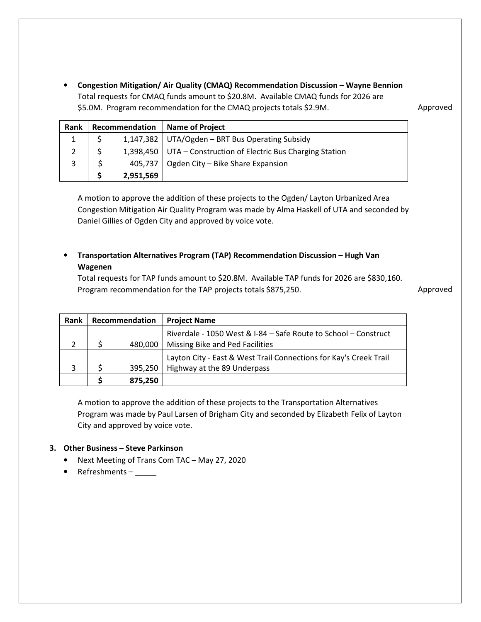• Congestion Mitigation/ Air Quality (CMAQ) Recommendation Discussion – Wayne Bennion Total requests for CMAQ funds amount to \$20.8M. Available CMAQ funds for 2026 are \$5.0M. Program recommendation for the CMAQ projects totals \$2.9M.

Approved

| Rank | Recommendation |           | <b>Name of Project</b>                                          |  |
|------|----------------|-----------|-----------------------------------------------------------------|--|
|      |                |           | 1,147,382   UTA/Ogden - BRT Bus Operating Subsidy               |  |
|      |                |           | 1,398,450   UTA – Construction of Electric Bus Charging Station |  |
|      |                | 405,737   | Ogden City - Bike Share Expansion                               |  |
|      |                | 2,951,569 |                                                                 |  |

A motion to approve the addition of these projects to the Ogden/ Layton Urbanized Area Congestion Mitigation Air Quality Program was made by Alma Haskell of UTA and seconded by Daniel Gillies of Ogden City and approved by voice vote.

### • Transportation Alternatives Program (TAP) Recommendation Discussion – Hugh Van Wagenen

Total requests for TAP funds amount to \$20.8M. Available TAP funds for 2026 are \$830,160. Program recommendation for the TAP projects totals \$875,250.

Approved

| <b>Rank</b> | Recommendation |         | <b>Project Name</b>                                               |
|-------------|----------------|---------|-------------------------------------------------------------------|
|             |                |         | Riverdale - 1050 West & I-84 - Safe Route to School - Construct   |
|             |                | 480.000 | Missing Bike and Ped Facilities                                   |
|             |                |         | Layton City - East & West Trail Connections for Kay's Creek Trail |
|             |                | 395,250 | Highway at the 89 Underpass                                       |
|             |                | 875,250 |                                                                   |

A motion to approve the addition of these projects to the Transportation Alternatives Program was made by Paul Larsen of Brigham City and seconded by Elizabeth Felix of Layton City and approved by voice vote.

#### 3. Other Business – Steve Parkinson

- Next Meeting of Trans Com TAC May 27, 2020
- Refreshments –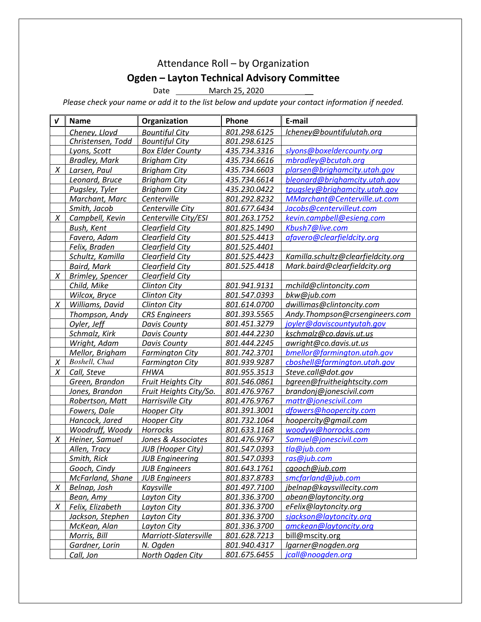# Attendance Roll – by Organization Ogden – Layton Technical Advisory Committee

Date \_\_\_\_\_\_\_\_\_ March 25, 2020

Please check your name or add it to the list below and update your contact information if needed.

| $\boldsymbol{v}$ | <b>Name</b>             | Organization             | Phone        | E-mail                             |
|------------------|-------------------------|--------------------------|--------------|------------------------------------|
|                  | Cheney, Lloyd           | <b>Bountiful City</b>    | 801.298.6125 | Icheney@bountifulutah.org          |
|                  | Christensen, Todd       | <b>Bountiful City</b>    | 801.298.6125 |                                    |
|                  | Lyons, Scott            | <b>Box Elder County</b>  | 435.734.3316 | slyons@boxeldercounty.org          |
|                  | <b>Bradley, Mark</b>    | <b>Brigham City</b>      | 435.734.6616 | mbradley@bcutah.org                |
| X                | Larsen, Paul            | <b>Brigham City</b>      | 435.734.6603 | plarsen@brighamcity.utah.gov       |
|                  | Leonard, Bruce          | <b>Brigham City</b>      | 435.734.6614 | bleonard@brighamcity.utah.gov      |
|                  | Pugsley, Tyler          | <b>Brigham City</b>      | 435.230.0422 | tpugsley@brighamcity.utah.gov      |
|                  | Marchant, Marc          | Centerville              | 801.292.8232 | MMarchant@Centerville.ut.com       |
|                  | Smith, Jacob            | Centerville City         | 801.677.6434 | Jacobs@centervilleut.com           |
| X                | Campbell, Kevin         | Centerville City/ESI     | 801.263.1752 | kevin.campbell@esieng.com          |
|                  | Bush, Kent              | Clearfield City          | 801.825.1490 | Kbush7@live.com                    |
|                  | Favero, Adam            | Clearfield City          | 801.525.4413 | afavero@clearfieldcity.org         |
|                  | Felix, Braden           | Clearfield City          | 801.525.4401 |                                    |
|                  | Schultz, Kamilla        | Clearfield City          | 801.525.4423 | Kamilla.schultz@clearfieldcity.org |
|                  | <b>Baird, Mark</b>      | Clearfield City          | 801.525.4418 | Mark.baird@clearfieldcity.org      |
| X                | <b>Brimley, Spencer</b> | Clearfield City          |              |                                    |
|                  | Child, Mike             | <b>Clinton City</b>      | 801.941.9131 | mchild@clintoncity.com             |
|                  | Wilcox, Bryce           | <b>Clinton City</b>      | 801.547.0393 | bkw@jub.com                        |
| X                | Williams, David         | <b>Clinton City</b>      | 801.614.0700 | dwillimas@clintoncity.com          |
|                  | Thompson, Andy          | <b>CRS</b> Engineers     | 801.393.5565 | Andy.Thompson@crsengineers.com     |
|                  | Oyler, Jeff             | <b>Davis County</b>      | 801.451.3279 | joyler@daviscountyutah.gov         |
|                  | Schmalz, Kirk           | Davis County             | 801.444.2230 | kschmalz@co.davis.ut.us            |
|                  | Wright, Adam            | <b>Davis County</b>      | 801.444.2245 | awright@co.davis.ut.us             |
|                  | Mellor, Brigham         | <b>Farmington City</b>   | 801.742.3701 | bmellor@farmington.utah.gov        |
| X                | Boshell, Chad           | <b>Farmington City</b>   | 801.939.9287 | cboshell@farmington.utah.gov       |
| X                | Call, Steve             | <b>FHWA</b>              | 801.955.3513 | Steve.call@dot.gov                 |
|                  | Green, Brandon          | Fruit Heights City       | 801.546.0861 | bgreen@fruitheightscity.com        |
|                  | Jones, Brandon          | Fruit Heights City/So.   | 801.476.9767 | brandonj@jonescivil.com            |
|                  | Robertson, Matt         | Harrisville City         | 801.476.9767 | mattr@jonescivil.com               |
|                  | Fowers, Dale            | <b>Hooper City</b>       | 801.391.3001 | dfowers@hoopercity.com             |
|                  | Hancock, Jared          | Hooper City              | 801.732.1064 | hoopercity@gmail.com               |
|                  | Woodruff, Woody         | Horrocks                 | 801.633.1168 | woodyw@horrocks.com                |
| X                | Heiner, Samuel          | Jones & Associates       | 801.476.9767 | Samuel@jonescivil.com              |
|                  | Allen, Tracy            | <b>JUB</b> (Hooper City) | 801.547.0393 | tla@jub.com                        |
|                  | Smith, Rick             | <b>JUB Engineering</b>   | 801.547.0393 | ras@jub.com                        |
|                  | Gooch, Cindy            | <b>JUB Engineers</b>     | 801.643.1761 | cgooch@jub.com                     |
|                  | McFarland, Shane        | <b>JUB Engineers</b>     | 801.837.8783 | smcfarland@jub.com                 |
| X                | Belnap, Josh            | Kaysville                | 801.497.7100 | jbelnap@kaysvillecity.com          |
|                  | Bean, Amy               | Layton City              | 801.336.3700 | abean@laytoncity.org               |
| X                | Felix, Elizabeth        | <b>Layton City</b>       | 801.336.3700 | eFelix@laytoncity.org              |
|                  | Jackson, Stephen        | Layton City              | 801.336.3700 | sjackson@laytoncity.org            |
|                  | McKean, Alan            | Layton City              | 801.336.3700 | amckean@laytoncity.org             |
|                  | Morris, Bill            | Marriott-Slatersville    | 801.628.7213 | bill@mscity.org                    |
|                  | Gardner, Lorin          | N. Ogden                 | 801.940.4317 | lgarner@nogden.org                 |
|                  | Call, Jon               | North Ogden City         | 801.675.6455 | jcall@noogden.org                  |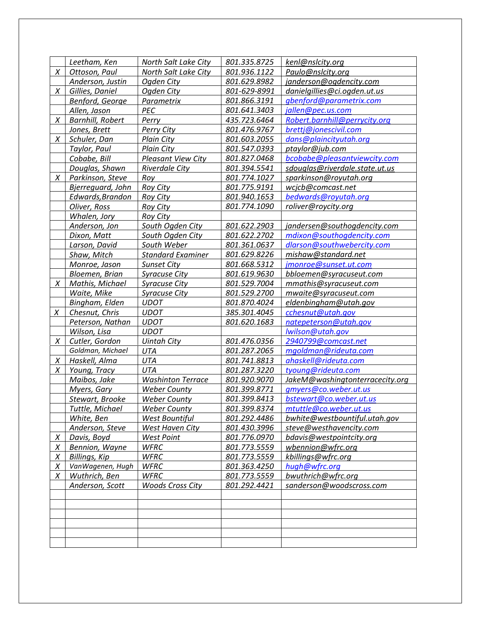|        | Leetham, Ken            | North Salt Lake City      | 801.335.8725 | kenl@nslcity.org                |
|--------|-------------------------|---------------------------|--------------|---------------------------------|
| X      | Ottoson, Paul           | North Salt Lake City      | 801.936.1122 | Paulo@nslcity.org               |
|        | Anderson, Justin        | Ogden City                | 801.629.8982 | janderson@ogdencity.com         |
| Χ      | Gillies, Daniel         | Ogden City                | 801-629-8991 | danielgillies@ci.ogden.ut.us    |
|        | Benford, George         | Parametrix                | 801.866.3191 | gbenford@parametrix.com         |
|        | Allen, Jason            | <b>PEC</b>                | 801.641.3403 | jallen@pec.us.com               |
| X      | <b>Barnhill, Robert</b> | Perry                     | 435.723.6464 | Robert.barnhill@perrycity.org   |
|        | Jones, Brett            | Perry City                | 801.476.9767 | brettj@jonescivil.com           |
| X      | Schuler, Dan            | <b>Plain City</b>         | 801.603.2055 | dans@plaincityutah.org          |
|        | Taylor, Paul            | <b>Plain City</b>         | 801.547.0393 | ptaylor@jub.com                 |
|        | Cobabe, Bill            | <b>Pleasant View City</b> | 801.827.0468 | bcobabe@pleasantviewcity.com    |
|        | Douglas, Shawn          | Riverdale City            | 801.394.5541 | sdouglas@riverdale.state.ut.us  |
| X      | Parkinson, Steve        | Roy                       | 801.774.1027 | sparkinson@royutah.org          |
|        | Bjerreguard, John       | <b>Roy City</b>           | 801.775.9191 | wcjcb@comcast.net               |
|        | Edwards, Brandon        | <b>Roy City</b>           | 801.940.1653 | bedwards@royutah.org            |
|        | Oliver, Ross            | <b>Roy City</b>           | 801.774.1090 | roliver@roycity.org             |
|        | Whalen, Jory            | <b>Roy City</b>           |              |                                 |
|        | Anderson, Jon           | South Ogden City          | 801.622.2903 | jandersen@southogdencity.com    |
|        | Dixon, Matt             | South Ogden City          | 801.622.2702 | mdixon@southogdencity.com       |
|        | Larson, David           | South Weber               | 801.361.0637 | dlarson@southwebercity.com      |
|        | Shaw, Mitch             | <b>Standard Examiner</b>  | 801.629.8226 | mishaw@standard.net             |
|        | Monroe, Jason           | <b>Sunset City</b>        | 801.668.5312 | jmonroe@sunset.ut.com           |
|        | Bloemen, Brian          | <b>Syracuse City</b>      | 801.619.9630 | bbloemen@syracuseut.com         |
| X      | Mathis, Michael         | <b>Syracuse City</b>      | 801.529.7004 | mmathis@syracuseut.com          |
|        | Waite, Mike             | <b>Syracuse City</b>      | 801.529.2700 | mwaite@syracuseut.com           |
|        | Bingham, Elden          | <b>UDOT</b>               | 801.870.4024 | eldenbingham@utah.gov           |
| X      | Chesnut, Chris          | <b>UDOT</b>               | 385.301.4045 | cchesnut@utah.gov               |
|        | Peterson, Nathan        | <b>UDOT</b>               | 801.620.1683 | natepeterson@utah.gov           |
|        | Wilson, Lisa            | <b>UDOT</b>               |              | lwilson@utah.gov                |
| X      | Cutler, Gordon          | <b>Uintah City</b>        | 801.476.0356 | 2940799@comcast.net             |
|        | Goldman, Michael        | <b>UTA</b>                | 801.287.2065 | mgoldman@rideuta.com            |
| X      | Haskell, Alma           | <b>UTA</b>                | 801.741.8813 | ahaskell@rideuta.com            |
| X      | Young, Tracy            | UTA                       | 801.287.3220 | tyoung@rideuta.com              |
|        | Maibos, Jake            | <b>Washinton Terrace</b>  | 801.920.9070 | JakeM@washingtonterracecity.org |
|        | Myers, Gary             | <b>Weber County</b>       | 801.399.8771 | gmyers@co.weber.ut.us           |
|        | Stewart, Brooke         | <b>Weber County</b>       | 801.399.8413 | bstewart@co.weber.ut.us         |
|        | Tuttle, Michael         | <b>Weber County</b>       | 801.399.8374 | mtuttle@co.weber.ut.us          |
|        | White, Ben              | West Bountiful            | 801.292.4486 | bwhite@westbountiful.utah.gov   |
|        | Anderson, Steve         | West Haven City           | 801.430.3996 | steve@westhavencity.com         |
| $\chi$ | Davis, Boyd             | <b>West Point</b>         | 801.776.0970 | bdavis@westpointcity.org        |
| $\chi$ | Bennion, Wayne          | <b>WFRC</b>               | 801.773.5559 | wbennion@wfrc.org               |
|        |                         |                           |              |                                 |
| X      | Billings, Kip           | <b>WFRC</b>               | 801.773.5559 | kbillings@wfrc.org              |
| X      | VanWagenen, Hugh        | <b>WFRC</b>               | 801.363.4250 | hugh@wfrc.org                   |
| X      | Wuthrich, Ben           | <b>WFRC</b>               | 801.773.5559 | bwuthrich@wfrc.org              |
|        | Anderson, Scott         | <b>Woods Cross City</b>   | 801.292.4421 | sanderson@woodscross.com        |
|        |                         |                           |              |                                 |
|        |                         |                           |              |                                 |
|        |                         |                           |              |                                 |
|        |                         |                           |              |                                 |
|        |                         |                           |              |                                 |
|        |                         |                           |              |                                 |